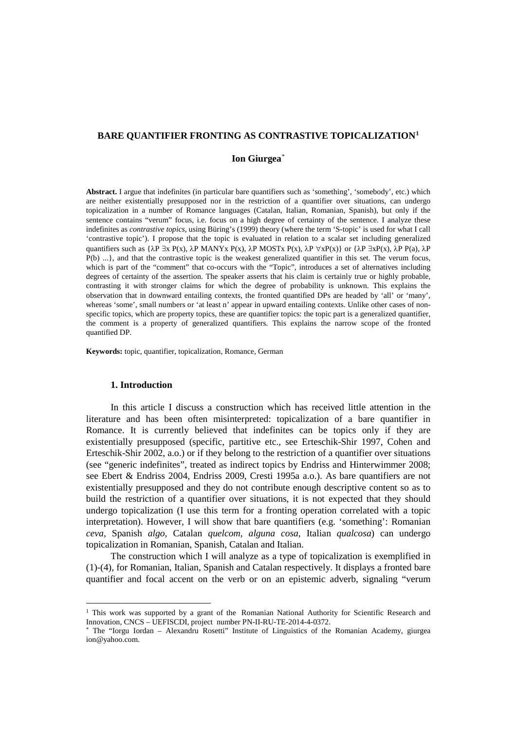### **BARE QUANTIFIER FRONTING AS CONTRASTIVE TOPICALIZATION[1](#page-0-0)**

## **Ion Giurgea**[\\*](#page-0-1)

**Abstract.** I argue that indefinites (in particular bare quantifiers such as 'something', 'somebody', etc.) which are neither existentially presupposed nor in the restriction of a quantifier over situations, can undergo topicalization in a number of Romance languages (Catalan, Italian, Romanian, Spanish), but only if the sentence contains "verum" focus, i.e. focus on a high degree of certainty of the sentence. I analyze these indefinites as *contrastive topics*, using Büring's (1999) theory (where the term 'S-topic' is used for what I call 'contrastive topic'). I propose that the topic is evaluated in relation to a scalar set including generalized quantifiers such as  $\{\lambda P \exists x P(x), \lambda P \text{ MANYx } P(x), \lambda P \text{ MOSTx } P(x), \lambda P \forall x P(x)\}$  or  $\{\lambda P \exists x P(x), \lambda P \text{ Pa}\}$ ,  $\lambda P$ P(b) ...}, and that the contrastive topic is the weakest generalized quantifier in this set. The verum focus, which is part of the "comment" that co-occurs with the "Topic", introduces a set of alternatives including degrees of certainty of the assertion. The speaker asserts that his claim is certainly true or highly probable, contrasting it with stronger claims for which the degree of probability is unknown. This explains the observation that in downward entailing contexts, the fronted quantified DPs are headed by 'all' or 'many', whereas 'some', small numbers or 'at least n' appear in upward entailing contexts. Unlike other cases of nonspecific topics, which are property topics, these are quantifier topics: the topic part is a generalized quantifier, the comment is a property of generalized quantifiers. This explains the narrow scope of the fronted quantified DP.

**Keywords:** topic, quantifier, topicalization, Romance, German

## **1. Introduction**

 $\overline{a}$ 

In this article I discuss a construction which has received little attention in the literature and has been often misinterpreted: topicalization of a bare quantifier in Romance. It is currently believed that indefinites can be topics only if they are existentially presupposed (specific, partitive etc., see Erteschik-Shir 1997, Cohen and Erteschik-Shir 2002, a.o.) or if they belong to the restriction of a quantifier over situations (see "generic indefinites", treated as indirect topics by Endriss and Hinterwimmer 2008; see Ebert & Endriss 2004, Endriss 2009, Cresti 1995a a.o.). As bare quantifiers are not existentially presupposed and they do not contribute enough descriptive content so as to build the restriction of a quantifier over situations, it is not expected that they should undergo topicalization (I use this term for a fronting operation correlated with a topic interpretation). However, I will show that bare quantifiers (e.g. 'something': Romanian *ceva,* Spanish *algo*, Catalan *quelcom*, *alguna cosa*, Italian *qualcosa*) can undergo topicalization in Romanian, Spanish, Catalan and Italian.

The construction which I will analyze as a type of topicalization is exemplified in [\(1\)](#page-1-0)[-\(4\),](#page-2-0) for Romanian, Italian, Spanish and Catalan respectively. It displays a fronted bare quantifier and focal accent on the verb or on an epistemic adverb, signaling "verum

<span id="page-0-0"></span><sup>&</sup>lt;sup>1</sup> This work was supported by a grant of the Romanian National Authority for Scientific Research and Innovation, CNCS – UEFISCDI, project number PN-II-RU-TE-2014-4-0372.

<span id="page-0-1"></span><sup>\*</sup> The "Iorgu Iordan – Alexandru Rosetti" Institute of Linguistics of the Romanian Academy, giurgea ion@yahoo.com.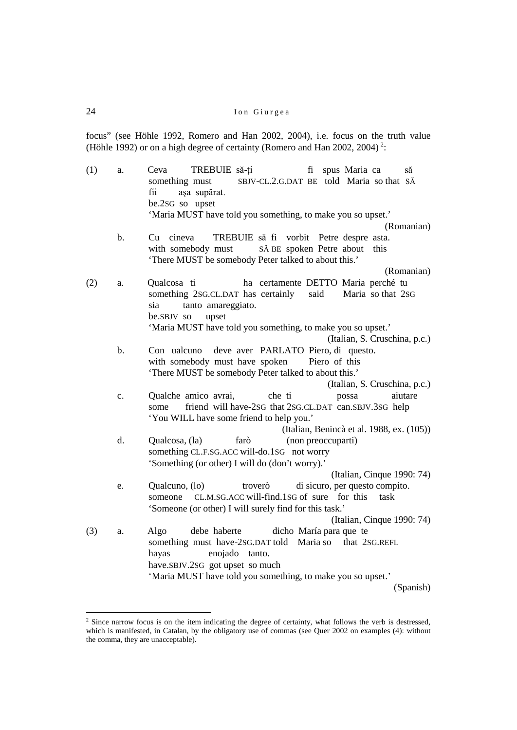focus" (see Höhle 1992, Romero and Han 2002, 2004), i.e. focus on the truth value (Höhle 199[2](#page-1-1)) or on a high degree of certainty (Romero and Han 2002, 2004)<sup>2</sup>:

<span id="page-1-2"></span><span id="page-1-0"></span>

| (1) | a.    | TREBUIE să-ți<br>Ceva<br>fi<br>spus Maria ca<br>să<br>SBJV-CL.2.G.DAT BE told Maria so that SĂ<br>something must<br>așa supărat.<br>fii<br>be.2sG so upset                |
|-----|-------|---------------------------------------------------------------------------------------------------------------------------------------------------------------------------|
|     |       | 'Maria MUST have told you something, to make you so upset.'                                                                                                               |
|     | $b$ . | (Romanian)<br>TREBUIE să fi vorbit Petre despre asta.<br>Cu cineva                                                                                                        |
|     |       | with somebody must<br>SĂ BE spoken Petre about<br>this<br>'There MUST be somebody Peter talked to about this.'                                                            |
|     |       | (Romanian)                                                                                                                                                                |
| (2) | a.    | ha certamente DETTO Maria perché tu<br>Qualcosa ti<br>something 2sG.CL.DAT has certainly<br>said<br>Maria so that 2sG<br>tanto amareggiato.<br>sia<br>upset<br>be.SBJV so |
|     |       | 'Maria MUST have told you something, to make you so upset.'                                                                                                               |
|     |       | (Italian, S. Cruschina, p.c.)                                                                                                                                             |
|     | $b$ . | Con ualcuno deve aver PARLATO Piero, di questo.<br>with somebody must have spoken<br>Piero of this<br>'There MUST be somebody Peter talked to about this.'                |
|     |       | (Italian, S. Cruschina, p.c.)                                                                                                                                             |
|     | c.    | che ti<br>Qualche amico avrai,<br>aiutare<br>possa                                                                                                                        |
|     |       | friend will have-2sG that 2sG.CL.DAT can.SBJV.3sG help<br>some<br>'You WILL have some friend to help you.'                                                                |
|     |       | (Italian, Benincà et al. 1988, ex. (105))                                                                                                                                 |
|     | d.    | farò<br>(non preoccuparti)<br>Qualcosa, (la)                                                                                                                              |
|     |       | something CL.F.SG.ACC will-do.1SG not worry                                                                                                                               |
|     |       | 'Something (or other) I will do (don't worry).'                                                                                                                           |
|     |       | (Italian, Cinque 1990: 74)                                                                                                                                                |
|     | e.    | di sicuro, per questo compito.<br>Qualcuno, (lo)<br>troverò                                                                                                               |
|     |       | CL.M.SG.ACC will-find.1SG of sure for this<br>task<br>someone                                                                                                             |
|     |       | 'Someone (or other) I will surely find for this task.'<br>(Italian, Cinque 1990: 74)                                                                                      |
| (3) | a.    | debe haberte<br>dicho María para que te<br>Algo                                                                                                                           |
|     |       | something must have-2sG.DAT told Maria so that 2SG.REFL                                                                                                                   |
|     |       | enojado tanto.<br>hayas                                                                                                                                                   |
|     |       | have.SBJV.2SG got upset so much                                                                                                                                           |
|     |       | 'Maria MUST have told you something, to make you so upset.'                                                                                                               |
|     |       | (Spanish)                                                                                                                                                                 |

<span id="page-1-3"></span><span id="page-1-1"></span><sup>&</sup>lt;sup>2</sup> Since narrow focus is on the item indicating the degree of certainty, what follows the verb is destressed, which is manifested, in Catalan, by the obligatory use of commas (see Quer 2002 on examples [\(4\):](#page-2-0) without the comma, they are unacceptable).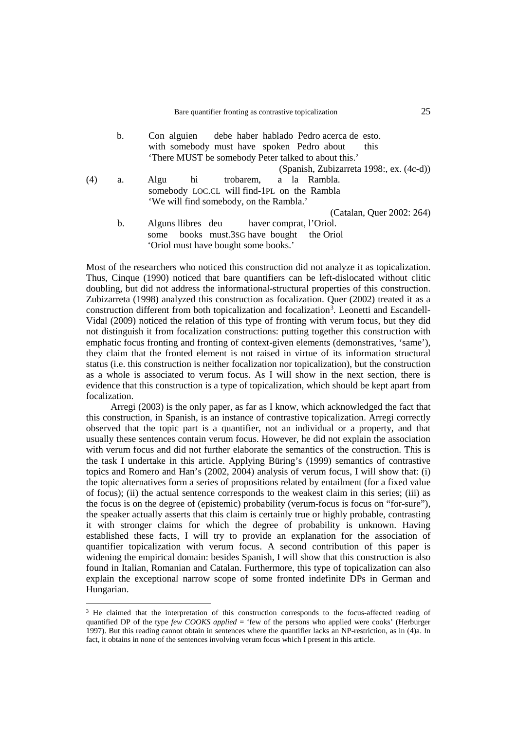<span id="page-2-0"></span>

|     | b.             | Con alguien debe haber hablado Pedro acerca de esto. |
|-----|----------------|------------------------------------------------------|
|     |                | with somebody must have spoken Pedro about<br>this   |
|     |                | 'There MUST be somebody Peter talked to about this.' |
|     |                | (Spanish, Zubizarreta 1998:, ex. (4c-d))             |
| (4) | a.             | trobarem, a la Rambla.<br>Algu<br>hi                 |
|     |                | somebody LOC.CL will find-1PL on the Rambla          |
|     |                | 'We will find somebody, on the Rambla.'              |
|     |                | (Catalan, Quer 2002: 264)                            |
|     | $\mathbf{b}$ . | Alguns llibres deu haver comprat, l'Oriol.           |
|     |                | some books must.3sG have bought the Oriol            |

Most of the researchers who noticed this construction did not analyze it as topicalization. Thus, Cinque (1990) noticed that bare quantifiers can be left-dislocated without clitic doubling, but did not address the informational-structural properties of this construction. Zubizarreta (1998) analyzed this construction as focalization. Quer (2002) treated it as a construction different from both topicalization and focalization<sup>[3](#page-2-1)</sup>. Leonetti and Escandell-Vidal (2009) noticed the relation of this type of fronting with verum focus, but they did not distinguish it from focalization constructions: putting together this construction with emphatic focus fronting and fronting of context-given elements (demonstratives, 'same'), they claim that the fronted element is not raised in virtue of its information structural status (i.e. this construction is neither focalization nor topicalization), but the construction as a whole is associated to verum focus. As I will show in the next section, there is evidence that this construction is a type of topicalization, which should be kept apart from focalization.

'Oriol must have bought some books.'

Arregi (2003) is the only paper, as far as I know, which acknowledged the fact that this construction, in Spanish, is an instance of contrastive topicalization. Arregi correctly observed that the topic part is a quantifier, not an individual or a property, and that usually these sentences contain verum focus. However, he did not explain the association with verum focus and did not further elaborate the semantics of the construction. This is the task I undertake in this article. Applying Büring's (1999) semantics of contrastive topics and Romero and Han's (2002, 2004) analysis of verum focus, I will show that: (i) the topic alternatives form a series of propositions related by entailment (for a fixed value of focus); (ii) the actual sentence corresponds to the weakest claim in this series; (iii) as the focus is on the degree of (epistemic) probability (verum-focus is focus on "for-sure"), the speaker actually asserts that this claim is certainly true or highly probable, contrasting it with stronger claims for which the degree of probability is unknown. Having established these facts, I will try to provide an explanation for the association of quantifier topicalization with verum focus. A second contribution of this paper is widening the empirical domain: besides Spanish, I will show that this construction is also found in Italian, Romanian and Catalan. Furthermore, this type of topicalization can also explain the exceptional narrow scope of some fronted indefinite DPs in German and Hungarian.

<span id="page-2-1"></span><sup>&</sup>lt;sup>3</sup> He claimed that the interpretation of this construction corresponds to the focus-affected reading of quantified DP of the type *few COOKS applied* = 'few of the persons who applied were cooks' (Herburger 1997). But this reading cannot obtain in sentences where the quantifier lacks an NP-restriction, as in [\(4\)a](#page-2-0). In fact, it obtains in none of the sentences involving verum focus which I present in this article.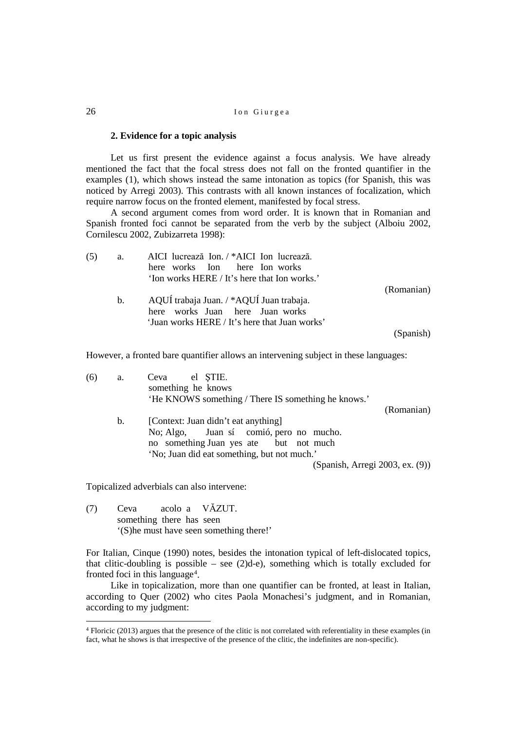### **2. Evidence for a topic analysis**

Let us first present the evidence against a focus analysis. We have already mentioned the fact that the focal stress does not fall on the fronted quantifier in the examples [\(1\),](#page-1-0) which shows instead the same intonation as topics (for Spanish, this was noticed by Arregi 2003). This contrasts with all known instances of focalization, which require narrow focus on the fronted element, manifested by focal stress.

A second argument comes from word order. It is known that in Romanian and Spanish fronted foci cannot be separated from the verb by the subject (Alboiu 2002, Cornilescu 2002, Zubizarreta 1998):

<span id="page-3-2"></span>

| (5) | a.             | AICI lucrează Ion. / *AICI Ion lucrează.      |            |
|-----|----------------|-----------------------------------------------|------------|
|     |                | here works Ion here Ion works                 |            |
|     |                | 'Ion works HERE / It's here that Ion works.'  |            |
|     |                |                                               | (Romanian) |
|     | $\mathbf{b}$ . | AQUÍ trabaja Juan. / *AQUÍ Juan trabaja.      |            |
|     |                | here works Juan here Juan works               |            |
|     |                | 'Juan works HERE / It's here that Juan works' |            |
|     |                |                                               | (Spanish)  |

However, a fronted bare quantifier allows an intervening subject in these languages:

<span id="page-3-1"></span>

| (6) | a. | Ceva el STIE.                                       |  |
|-----|----|-----------------------------------------------------|--|
|     |    | something he knows                                  |  |
|     |    | 'He KNOWS something / There IS something he knows.' |  |
|     |    | (Romanian)                                          |  |
|     | b. | [Context: Juan didn't eat anything]                 |  |
|     |    | No; Algo, Juan sí comió, pero no mucho.             |  |
|     |    | no something Juan yes ate but not much              |  |
|     |    | 'No; Juan did eat something, but not much.'         |  |
|     |    | (Spanish, Arregi 2003, ex. (9))                     |  |

Topicalized adverbials can also intervene:

(7) Ceva acolo a VĂZUT. something there has seen '(S)he must have seen something there!'

For Italian, Cinque (1990) notes, besides the intonation typical of left-dislocated topics, that clitic-doubling is possible – see  $(2)d-e$  $(2)d-e$ ), something which is totally excluded for fronted foci in this language<sup>[4](#page-3-0)</sup>.

Like in topicalization, more than one quantifier can be fronted, at least in Italian, according to Quer (2002) who cites Paola Monachesi's judgment, and in Romanian, according to my judgment:

<span id="page-3-0"></span><sup>4</sup> Floricic (2013) argues that the presence of the clitic is not correlated with referentiality in these examples (in fact, what he shows is that irrespective of the presence of the clitic, the indefinites are non-specific).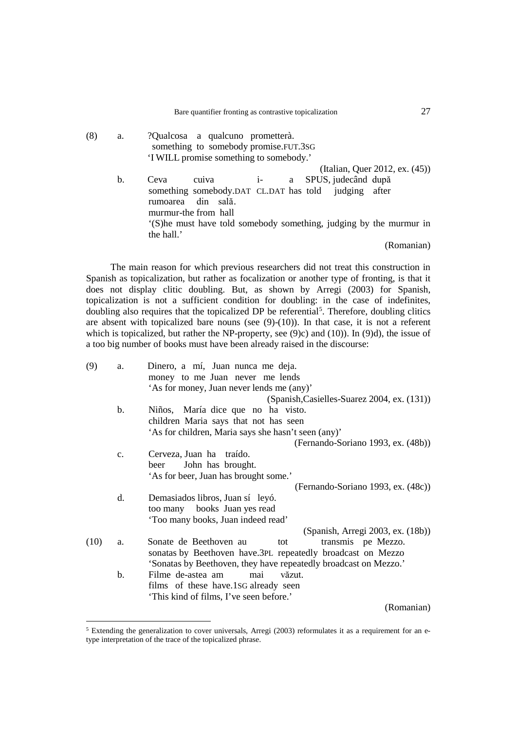(8) a. ?Qualcosa a qualcuno prometterà. something to somebody promise.FUT.3SG 'I WILL promise something to somebody.' (Italian, Quer 2012, ex. (45)) b. Ceva cuiva i- a SPUS, judecând după something somebody. DAT CL. DAT has told judging after something somebody.DAT CL.DAT has told rumoarea din sală. murmur-the from hall '(S)he must have told somebody something, judging by the murmur in the hall.'

(Romanian)

The main reason for which previous researchers did not treat this construction in Spanish as topicalization, but rather as focalization or another type of fronting, is that it does not display clitic doubling. But, as shown by Arregi (2003) for Spanish, topicalization is not a sufficient condition for doubling: in the case of indefinites, doubling also requires that the topicalized DP be referential<sup>[5](#page-4-2)</sup>. Therefore, doubling clitics are absent with topicalized bare nouns (see  $(9)-(10)$ ). In that case, it is not a referent which is topicalized, but rather the NP-property, see [\(9\)c](#page-4-0)) and [\(10\)\)](#page-4-1). In [\(9\)d](#page-4-0)), the issue of a too big number of books must have been already raised in the discourse:

<span id="page-4-0"></span>

| (9)  | a.             | Dinero, a mí, Juan nunca me deja.                                |
|------|----------------|------------------------------------------------------------------|
|      |                | money to me Juan never me lends                                  |
|      |                | 'As for money, Juan never lends me (any)'                        |
|      |                | (Spanish, Casielles-Suarez 2004, ex. (131))                      |
|      | $\mathbf b$ .  | Niños, María dice que no ha visto.                               |
|      |                | children Maria says that not has seen                            |
|      |                | 'As for children, Maria says she hasn't seen (any)'              |
|      |                | (Fernando-Soriano 1993, ex. (48b))                               |
|      | $\mathbf{c}$ . | Cerveza, Juan ha traído.                                         |
|      |                | John has brought.<br>beer                                        |
|      |                | 'As for beer, Juan has brought some.'                            |
|      |                | (Fernando-Soriano 1993, ex. (48c))                               |
|      | d.             | Demasiados libros, Juan sí leyó.                                 |
|      |                | too many books Juan yes read                                     |
|      |                | 'Too many books, Juan indeed read'                               |
|      |                | (Spanish, Arregi 2003, ex. (18b))                                |
| (10) | a.             | Sonate de Beethoven au<br>transmis pe Mezzo.<br>tot              |
|      |                | sonatas by Beethoven have.3PL repeatedly broadcast on Mezzo      |
|      |                | 'Sonatas by Beethoven, they have repeatedly broadcast on Mezzo.' |
|      | $\mathbf b$ .  | Filme de-astea am<br>mai<br>văzut.                               |
|      |                | films of these have 1SG already seen                             |
|      |                | 'This kind of films, I've seen before.'                          |
|      |                | (Romanian)                                                       |

<span id="page-4-2"></span><span id="page-4-1"></span><sup>&</sup>lt;sup>5</sup> Extending the generalization to cover universals, Arregi (2003) reformulates it as a requirement for an etype interpretation of the trace of the topicalized phrase.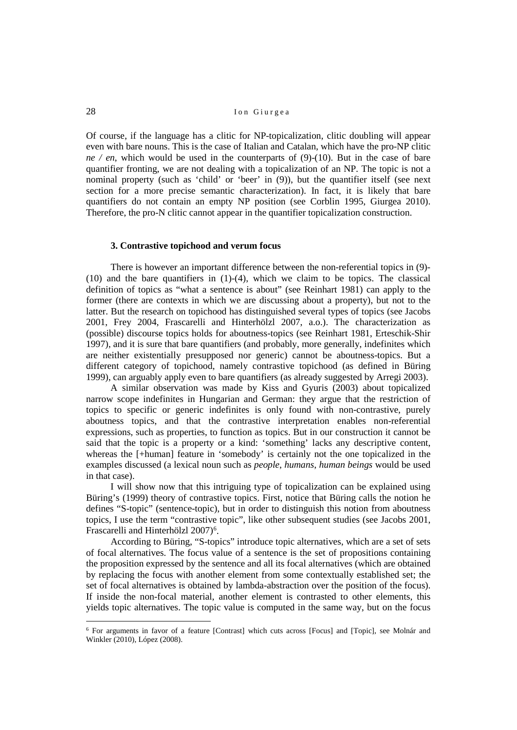Of course, if the language has a clitic for NP-topicalization, clitic doubling will appear even with bare nouns. This is the case of Italian and Catalan, which have the pro-NP clitic *ne / en*, which would be used in the counterparts of [\(9\)](#page-4-0)[-\(10\).](#page-4-1) But in the case of bare quantifier fronting, we are not dealing with a topicalization of an NP. The topic is not a nominal property (such as 'child' or 'beer' in [\(9\)\)](#page-4-0), but the quantifier itself (see next section for a more precise semantic characterization). In fact, it is likely that bare quantifiers do not contain an empty NP position (see Corblin 1995, Giurgea 2010). Therefore, the pro-N clitic cannot appear in the quantifier topicalization construction.

#### **3. Contrastive topichood and verum focus**

There is however an important difference between the non-referential topics in [\(9\)-](#page-4-0) [\(10\)](#page-4-1) and the bare quantifiers in [\(1\)](#page-1-0)[-\(4\),](#page-2-0) which we claim to be topics. The classical definition of topics as "what a sentence is about" (see Reinhart 1981) can apply to the former (there are contexts in which we are discussing about a property), but not to the latter. But the research on topichood has distinguished several types of topics (see Jacobs 2001, Frey 2004, Frascarelli and Hinterhölzl 2007, a.o.). The characterization as (possible) discourse topics holds for aboutness-topics (see Reinhart 1981, Erteschik-Shir 1997), and it is sure that bare quantifiers (and probably, more generally, indefinites which are neither existentially presupposed nor generic) cannot be aboutness-topics. But a different category of topichood, namely contrastive topichood (as defined in Büring 1999), can arguably apply even to bare quantifiers (as already suggested by Arregi 2003).

A similar observation was made by Kiss and Gyuris (2003) about topicalized narrow scope indefinites in Hungarian and German: they argue that the restriction of topics to specific or generic indefinites is only found with non-contrastive, purely aboutness topics, and that the contrastive interpretation enables non-referential expressions, such as properties, to function as topics. But in our construction it cannot be said that the topic is a property or a kind: 'something' lacks any descriptive content, whereas the [+human] feature in 'somebody' is certainly not the one topicalized in the examples discussed (a lexical noun such as *people*, *humans*, *human beings* would be used in that case).

I will show now that this intriguing type of topicalization can be explained using Büring's (1999) theory of contrastive topics. First, notice that Büring calls the notion he defines "S-topic" (sentence-topic), but in order to distinguish this notion from aboutness topics, I use the term "contrastive topic", like other subsequent studies (see Jacobs 2001, Frascarelli and Hinterhölzl 2007)<sup>[6](#page-5-0)</sup>.

According to Büring, "S-topics" introduce topic alternatives, which are a set of sets of focal alternatives. The focus value of a sentence is the set of propositions containing the proposition expressed by the sentence and all its focal alternatives (which are obtained by replacing the focus with another element from some contextually established set; the set of focal alternatives is obtained by lambda-abstraction over the position of the focus). If inside the non-focal material, another element is contrasted to other elements, this yields topic alternatives. The topic value is computed in the same way, but on the focus

<span id="page-5-0"></span><sup>6</sup> For arguments in favor of a feature [Contrast] which cuts across [Focus] and [Topic], see Molnár and Winkler (2010), López (2008).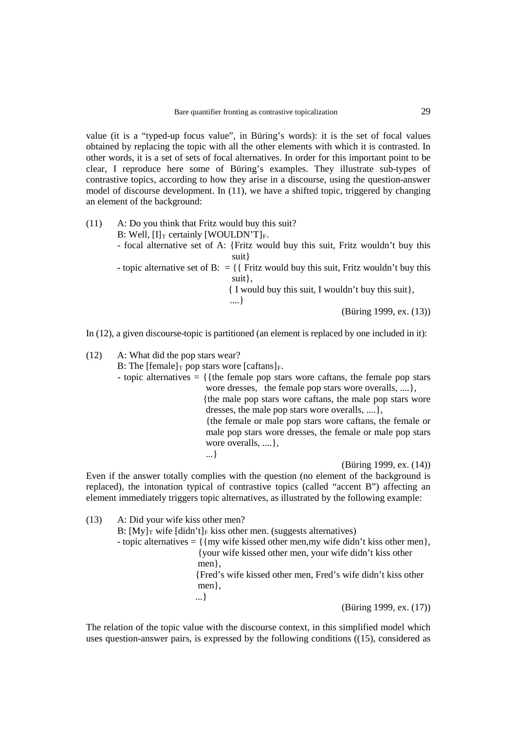value (it is a "typed-up focus value", in Büring's words): it is the set of focal values obtained by replacing the topic with all the other elements with which it is contrasted. In other words, it is a set of sets of focal alternatives. In order for this important point to be clear, I reproduce here some of Büring's examples. They illustrate sub-types of contrastive topics, according to how they arise in a discourse, using the question-answer model of discourse development. In [\(11\),](#page-6-0) we have a shifted topic, triggered by changing an element of the background:

<span id="page-6-0"></span>(11) A: Do you think that Fritz would buy this suit? B: Well,  $[I]_T$  certainly [WOULDN'T]<sub>F</sub>. - focal alternative set of A: {Fritz would buy this suit, Fritz wouldn't buy this suit} - topic alternative set of B:  $=$  { Fritz would buy this suit, Fritz wouldn't buy this suit},

{ I would buy this suit, I wouldn't buy this suit},

(Büring 1999, ex. (13))

In [\(12\),](#page-6-1) a given discourse-topic is partitioned (an element is replaced by one included in it):

....}

<span id="page-6-1"></span>(12) A: What did the pop stars wear? B: The  $[female]_T$  pop stars wore  $[caftans]_F$ . - topic alternatives  $= \{$ {the female pop stars wore caftans, the female pop stars wore dresses, the female pop stars wore overalls, ....}, {the male pop stars wore caftans, the male pop stars wore dresses, the male pop stars wore overalls, ....}, {the female or male pop stars wore caftans, the female or male pop stars wore dresses, the female or male pop stars wore overalls, ....}, ...}

(Büring 1999, ex. (14))

Even if the answer totally complies with the question (no element of the background is replaced), the intonation typical of contrastive topics (called "accent B") affecting an element immediately triggers topic alternatives, as illustrated by the following example:

(13) A: Did your wife kiss other men? B:  $[Mv]_T$  wife  $\left[\text{d} \text{id} \text{n}'t\right]_F$  kiss other men. (suggests alternatives) - topic alternatives  $= \{ \{my write kised other men, my wife didn't kiss other men\},\}$ {your wife kissed other men, your wife didn't kiss other men}, {Fred's wife kissed other men, Fred's wife didn't kiss other men}, ...} (Büring 1999, ex. (17))

The relation of the topic value with the discourse context, in this simplified model which uses question-answer pairs, is expressed by the following conditions [\(\(15\),](#page-7-0) considered as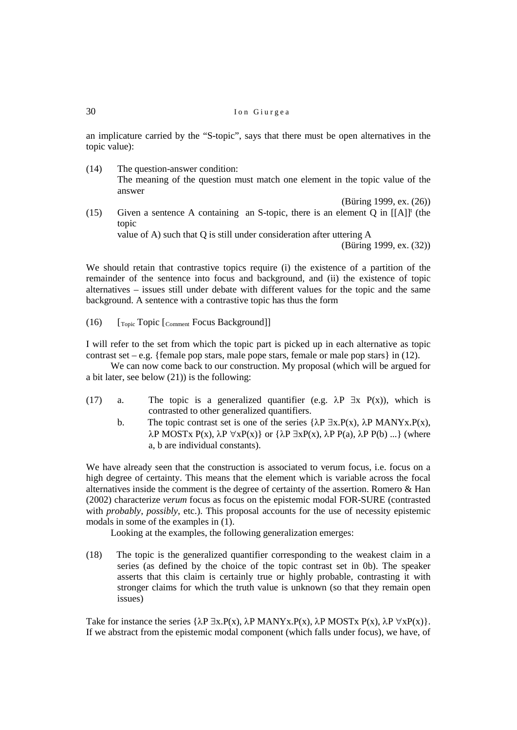an implicature carried by the "S-topic", says that there must be open alternatives in the topic value):

(14) The question-answer condition: The meaning of the question must match one element in the topic value of the answer

(Büring 1999, ex. (26))

<span id="page-7-0"></span>(15) Given a sentence A containing an S-topic, there is an element Q in  $[[A]]<sup>t</sup>$  (the topic value of A) such that Q is still under consideration after uttering A

<span id="page-7-1"></span>(Büring 1999, ex. (32))

We should retain that contrastive topics require (i) the existence of a partition of the remainder of the sentence into focus and background, and (ii) the existence of topic alternatives – issues still under debate with different values for the topic and the same background. A sentence with a contrastive topic has thus the form

(16) [Topic Topic [Comment Focus Background]]

I will refer to the set from which the topic part is picked up in each alternative as topic contrast set – e.g. {female pop stars, male pope stars, female or male pop stars} in [\(12\).](#page-6-1)

We can now come back to our construction. My proposal (which will be argued for a bit later, see belo[w \(21\)\)](#page-8-0) is the following:

- (17) a. The topic is a generalized quantifier (e.g.  $\lambda P \exists x P(x)$ ), which is contrasted to other generalized quantifiers.
	- b. The topic contrast set is one of the series  $\{\lambda P \exists x.P(x), \lambda P MANYx.P(x),\}$  $λP$  MOSTx P(x),  $λP$   $∀xP(x)$ } or  ${λP \exists xP(x), λP P(a), λP P(b) ...}$  (where a, b are individual constants).

We have already seen that the construction is associated to verum focus, i.e. focus on a high degree of certainty. This means that the element which is variable across the focal alternatives inside the comment is the degree of certainty of the assertion. Romero & Han (2002) characterize *verum* focus as focus on the epistemic modal FOR-SURE (contrasted with *probably*, *possibly*, etc.). This proposal accounts for the use of necessity epistemic modals in some of the examples i[n \(1\).](#page-1-0)

Looking at the examples, the following generalization emerges:

<span id="page-7-2"></span>(18) The topic is the generalized quantifier corresponding to the weakest claim in a series (as defined by the choice of the topic contrast set in [0b](#page-7-1)). The speaker asserts that this claim is certainly true or highly probable, contrasting it with stronger claims for which the truth value is unknown (so that they remain open issues)

Take for instance the series  $\{\lambda P \exists x.P(x), \lambda P \text{ MANYx}.P(x), \lambda P \text{ MOSTx } P(x), \lambda P \forall x P(x)\}.$ If we abstract from the epistemic modal component (which falls under focus), we have, of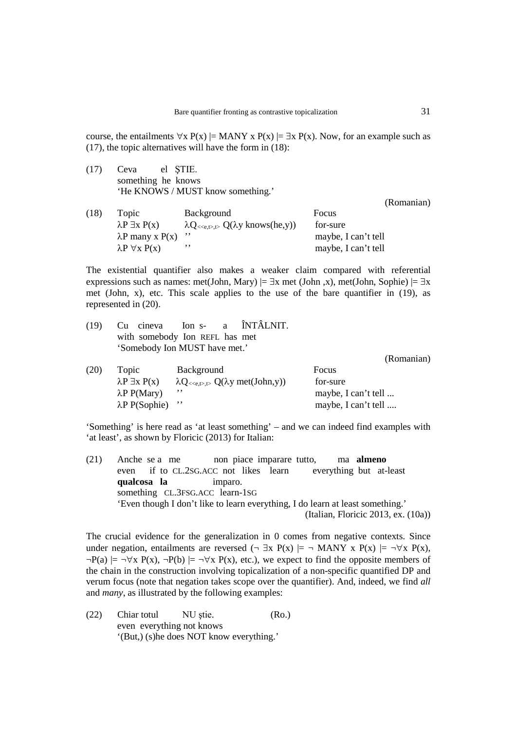course, the entailments  $\forall x P(x) \models \text{MANY} x P(x) \models \exists x P(x)$ . Now, for an example such as [\(17\),](#page-8-1) the topic alternatives will have the form in [\(18\):](#page-8-2)

<span id="page-8-1"></span>(17) Ceva el ŞTIE. something he knows 'He KNOWS / MUST know something.'

<span id="page-8-2"></span>(Romanian) (18) Topic Background Focus  $\lambda P \exists x P(x)$   $\lambda Q_{\langle\langle e,t\rangle,\langle t\rangle} Q(\lambda y \text{ knows}(\text{he},y))$  for-sure  $\lambda$ P many x P(x) '' maybe, I can't tell  $\lambda P \forall x P(x)$  '' maybe, I can't tell

The existential quantifier also makes a weaker claim compared with referential expressions such as names: met(John, Mary)  $\models \exists x$  met (John, x), met(John, Sophie)  $\models \exists x$ met (John, x), etc. This scale applies to the use of the bare quantifier in [\(19\),](#page-8-3) as represented in [\(20\).](#page-8-4)

<span id="page-8-3"></span>

|  | $(19)$ Cu cineva Ion s- a $\hat{I}NTA LNIT$ . |  |  |            |
|--|-----------------------------------------------|--|--|------------|
|  | with somebody Ion REFL has met                |  |  |            |
|  | 'Somebody Ion MUST have met.'                 |  |  |            |
|  |                                               |  |  | (Romanian) |

<span id="page-8-4"></span>

| (20) | Topic                      | Background                                                | Focus               |
|------|----------------------------|-----------------------------------------------------------|---------------------|
|      | $\lambda P \exists x P(x)$ | $\lambda Q_{\ll e,t} > Q(\lambda y \text{ met}(John, y))$ | for-sure            |
|      | $\lambda P$ P(Mary)        |                                                           | maybe, I can't tell |
|      | $\lambda P$ P(Sophie) "    |                                                           | maybe, I can't tell |

'Something' is here read as 'at least something' – and we can indeed find examples with 'at least', as shown by Floricic (2013) for Italian:

<span id="page-8-0"></span>(21) Anche se a me non piace imparare tutto, ma **almeno** even if to CL.2SG.ACC not likes learn everything but at-least **qualcosa la** imparo. something CL.3FSG.ACC learn-1SG 'Even though I don't like to learn everything, I do learn at least something.' (Italian, Floricic 2013, ex. (10a))

The crucial evidence for the generalization in [0](#page-7-2) comes from negative contexts. Since under negation, entailments are reversed ( $\neg \exists x \ P(x) \models \neg \text{MANY } x \ P(x) \models \neg \forall x \ P(x)$ ,  $\neg P(a) \models \neg \forall x P(x), \neg P(b) \models \neg \forall x P(x),$  etc.), we expect to find the opposite members of the chain in the construction involving topicalization of a non-specific quantified DP and verum focus (note that negation takes scope over the quantifier). And, indeed, we find *all*  and *many*, as illustrated by the following examples:

(22) Chiar totul NU ştie. (Ro.) even everything not knows '(But,) (s)he does NOT know everything.'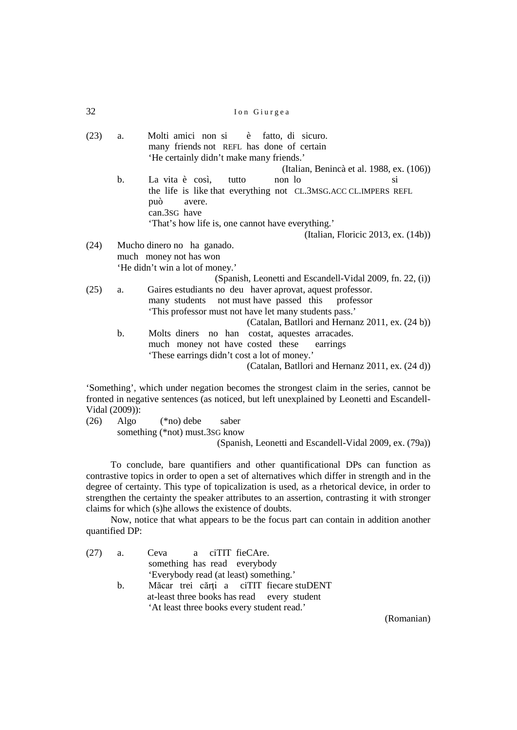(23) a. Molti amici non si è fatto, di sicuro. many friends not REFL has done of certain 'He certainly didn't make many friends.' (Italian, Benincà et al. 1988, ex. (106)) b. La vita è così, tutto non losi the life is like that everything not CL.3MSG.ACC CL.IMPERS REFL può avere. can.3SG have 'That's how life is, one cannot have everything.' (Italian, Floricic 2013, ex. (14b)) (24) Mucho dinero no ha ganado. much money not has won 'He didn't win a lot of money.' (Spanish, Leonetti and Escandell-Vidal 2009, fn. 22, (i)) (25) a. Gaires estudiants no deu haver aprovat, aquest professor. many students not must have passed this professor 'This professor must not have let many students pass.' (Catalan, Batllori and Hernanz 2011, ex. (24 b)) b. Molts diners no han costat, aquestes arracades. much money not have costed these earrings 'These earrings didn't cost a lot of money.' (Catalan, Batllori and Hernanz 2011, ex. (24 d))

'Something', which under negation becomes the strongest claim in the series, cannot be fronted in negative sentences (as noticed, but left unexplained by Leonetti and Escandell-Vidal (2009)):

(26) Algo (\*no) debe saber something (\*not) must.3SG know

(Spanish, Leonetti and Escandell-Vidal 2009, ex. (79a))

To conclude, bare quantifiers and other quantificational DPs can function as contrastive topics in order to open a set of alternatives which differ in strength and in the degree of certainty. This type of topicalization is used, as a rhetorical device, in order to strengthen the certainty the speaker attributes to an assertion, contrasting it with stronger claims for which (s)he allows the existence of doubts.

Now, notice that what appears to be the focus part can contain in addition another quantified DP:

<span id="page-9-0"></span>

| $(27)$ a. |                | Ceva a ciTIT fieCAre.                       |
|-----------|----------------|---------------------------------------------|
|           |                | something has read everybody                |
|           |                | 'Everybody read (at least) something.'      |
|           | $\mathbf{b}$ . | Măcar trei cărți a ciTIT fiecare stuDENT    |
|           |                | at-least three books has read every student |
|           |                | 'At least three books every student read.'  |
|           |                |                                             |

(Romanian)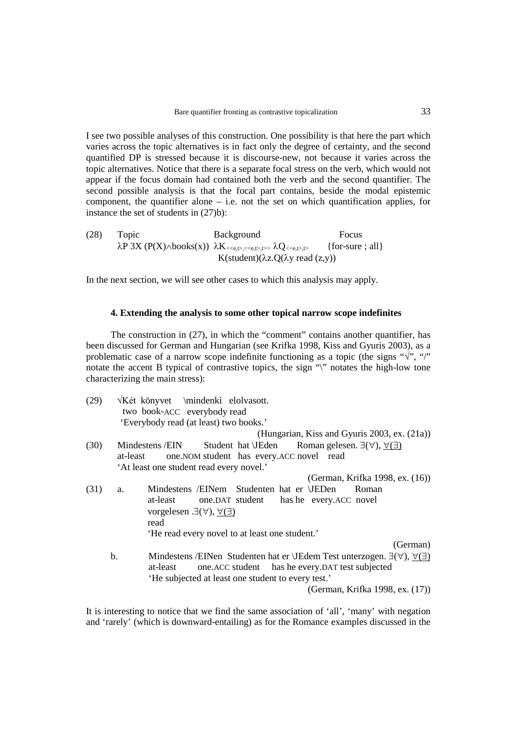I see two possible analyses of this construction. One possibility is that here the part which varies across the topic alternatives is in fact only the degree of certainty, and the second quantified DP is stressed because it is discourse-new, not because it varies across the topic alternatives. Notice that there is a separate focal stress on the verb, which would not appear if the focus domain had contained both the verb and the second quantifier. The second possible analysis is that the focal part contains, beside the modal epistemic component, the quantifier alone  $-$  i.e. not the set on which quantification applies, for instance the set of students in [\(27\)b](#page-9-0)):

<span id="page-10-2"></span>(28) Topic Background Focus  $\lambda P$  3X (P(X) $\land$ books(x))  $\lambda K$  <  $\ll_{e,t}$ ,  $\ll_{e,t}$ ,  $\land$   $\lambda Q$  <  $\ll_{e,t}$ ,  $\sim$  {for-sure ; all} K(student)(λz. $Q(λy read (z,y))$ 

In the next section, we will see other cases to which this analysis may apply.

## **4. Extending the analysis to some other topical narrow scope indefinites**

The construction in [\(27\),](#page-9-0) in which the "comment" contains another quantifier, has been discussed for German and Hungarian (see Krifka 1998, Kiss and Gyuris 2003), as a problematic case of a narrow scope indefinite functioning as a topic (the signs " $\sqrt{$ ", "/" notate the accent B typical of contrastive topics, the sign "\" notates the high-low tone characterizing the main stress):

<span id="page-10-3"></span><span id="page-10-1"></span><span id="page-10-0"></span>

| (29) |          | VKét könyvet \mindenki elolvasott.<br>two book-ACC everybody read                               |
|------|----------|-------------------------------------------------------------------------------------------------|
|      |          | 'Everybody read (at least) two books.'                                                          |
|      |          | (Hungarian, Kiss and Gyuris 2003, ex. (21a))                                                    |
| (30) |          | Student hat VEden Roman gelesen. $\exists(\forall), \forall(\exists)$<br>Mindestens / EIN       |
|      | at-least | one. NOM student has every. ACC novel read                                                      |
|      |          | 'At least one student read every novel.'                                                        |
|      |          | (German, Krifka 1998, ex. (16))                                                                 |
| (31) | a.       | Mindestens /EINem Studenten hat er \JEDen<br>Roman                                              |
|      |          | one.DAT student has he every.ACC novel<br>at-least                                              |
|      |          | vorgelesen $\exists(\forall), \forall(\exists)$                                                 |
|      |          | read                                                                                            |
|      |          | 'He read every novel to at least one student.'                                                  |
|      |          | (German)                                                                                        |
|      | b.       | Mindestens /EINen Studenten hat er \JEdem Test unterzogen. $\exists(\forall), \forall(\exists)$ |
|      |          | one. ACC student has he every. DAT test subjected<br>at-least                                   |
|      |          | 'He subjected at least one student to every test.'                                              |
|      |          | (German, Krifka 1998, ex. (17))                                                                 |

It is interesting to notice that we find the same association of 'all', 'many' with negation and 'rarely' (which is downward-entailing) as for the Romance examples discussed in the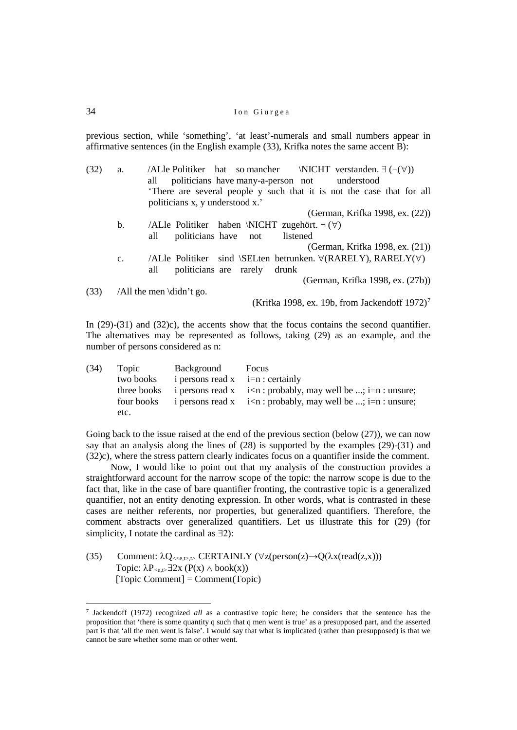previous section, while 'something', 'at least'-numerals and small numbers appear in affirmative sentences (in the English example [\(33\),](#page-11-0) Krifka notes the same accent B):

<span id="page-11-1"></span>

| (32) | a.             | /ALle Politiker hat so mancher<br>$\NICHT$ verstanden. $\exists (\neg(\forall))$ |
|------|----------------|----------------------------------------------------------------------------------|
|      |                | politicians have many-a-person not<br>understood<br>all                          |
|      |                | There are several people y such that it is not the case that for all             |
|      |                | politicians x, y understood x.'                                                  |
|      |                | (German, Krifka 1998, ex. (22))                                                  |
|      | $\mathbf{b}$ . | /ALle Politiker haben \NICHT zugehört. $\neg (\forall)$                          |
|      |                | politicians have not<br>listened<br>all                                          |
|      |                | (German, Krifka 1998, ex. (21))                                                  |
|      | $C_{\bullet}$  | /ALle Politiker sind \SELten betrunken. $\forall$ (RARELY), RARELY( $\forall$ )  |
|      |                | politicians are rarely<br>all<br>drunk                                           |
|      |                | (German, Krifka 1998, ex. (27b))                                                 |
| (33) |                | /All the men $\ddot{\text{d}}$ t go.                                             |
|      |                | (Krifka 1998, ex. 19b, from Jackendoff $1972$ ) <sup>7</sup>                     |

<span id="page-11-0"></span>In [\(29\)](#page-10-0)[-\(31\)](#page-10-1) and [\(32\)c](#page-11-1)), the accents show that the focus contains the second quantifier. The alternatives may be represented as follows, taking [\(29\)](#page-10-0) as an example, and the number of persons considered as n:

| (34) | Topic       | Background                         | Focus                                                                                              |
|------|-------------|------------------------------------|----------------------------------------------------------------------------------------------------|
|      | two books   | i persons read $x$ i=n : certainly |                                                                                                    |
|      | three books |                                    | i persons read $x \in i$ <n: ;="" be="" i="n:" may="" probably,="" td="" unsure;<="" well=""></n:> |
|      | four books  |                                    | i persons read $x \in \mathbb{R}$ : probably, may well be ; i=n : unsure;                          |
|      | etc.        |                                    |                                                                                                    |

Going back to the issue raised at the end of the previous section (below  $(27)$ ), we can now say that an analysis along the lines of [\(28\)](#page-10-2) is supported by the examples [\(29\)-](#page-10-0)[\(31\)](#page-10-1) and [\(32\)c](#page-11-1)), where the stress pattern clearly indicates focus on a quantifier inside the comment.

Now, I would like to point out that my analysis of the construction provides a straightforward account for the narrow scope of the topic: the narrow scope is due to the fact that, like in the case of bare quantifier fronting, the contrastive topic is a generalized quantifier, not an entity denoting expression. In other words, what is contrasted in these cases are neither referents, nor properties, but generalized quantifiers. Therefore, the comment abstracts over generalized quantifiers. Let us illustrate this for [\(29\)](#page-10-0) (for simplicity, I notate the cardinal as ∃2):

(35) Comment:  $\lambda Q_{\langle\langle e,L\rangle,D}$  CERTAINLY ( $\forall z (person(z) \rightarrow Q(\lambda x (read(z,x)))$ Topic:  $\lambda P_{\leq e, t} \exists 2x (P(x) \wedge book(x))$ [Topic Comment] = Comment(Topic)

<span id="page-11-2"></span><sup>7</sup> Jackendoff (1972) recognized *all* as a contrastive topic here; he considers that the sentence has the proposition that 'there is some quantity q such that q men went is true' as a presupposed part, and the asserted part is that 'all the men went is false'. I would say that what is implicated (rather than presupposed) is that we cannot be sure whether some man or other went.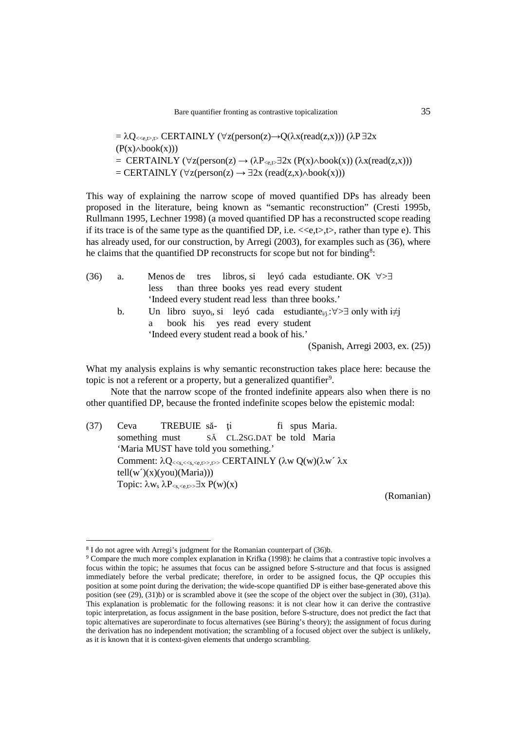$= \lambda Q$ <sub><<e,t>,t></sub> CERTAINLY (∀z(person(z)→Q( $\lambda$ x(read(z,x))) (λP ∃2x  $(P(x) \wedge \text{book}(x)))$ = CERTAINLY ( $\forall$ z(person(z) → ( $\lambda P_{\leq x}$   $\exists$ 2x ( $P(x) \wedge$ book(x)) ( $\lambda x$ (read(z,x)))  $=$  CERTAINLY ( $\forall$ z(person(z)  $\rightarrow \exists 2x$  (read(z,x) $\land$ book(x)))

This way of explaining the narrow scope of moved quantified DPs has already been proposed in the literature, being known as "semantic reconstruction" (Cresti 1995b, Rullmann 1995, Lechner 1998) (a moved quantified DP has a reconstructed scope reading if its trace is of the same type as the quantified DP, i.e.  $\langle\langle e,t\rangle, t\rangle$ , rather than type e). This has already used, for our construction, by Arregi (2003), for examples such as (36), where he claims that the quantified DP reconstructs for scope but not for binding<sup>[8](#page-12-1)</sup>:

<span id="page-12-0"></span>

| (36) | a. | Menos de tres libros, si leyó cada estudiante. OK $\forall > \exists$                                           |
|------|----|-----------------------------------------------------------------------------------------------------------------|
|      |    | less than three books yes read every student                                                                    |
|      |    | 'Indeed every student read less than three books.'                                                              |
|      | b. | Un libro suyo, si leyó cada estudiante <sub><math>\psi</math>i</sub> : $\forall > \exists$ only with $i \neq j$ |
|      |    | book his yes read every student                                                                                 |
|      |    | 'Indeed every student read a book of his.'                                                                      |
|      |    | (Spanish, Arregi 2003, ex. (25))                                                                                |

What my analysis explains is why semantic reconstruction takes place here: because the topic is not a referent or a property, but a generalized quantifier<sup>[9](#page-12-2)</sup>.

Note that the narrow scope of the fronted indefinite appears also when there is no other quantified DP, because the fronted indefinite scopes below the epistemic modal:

(37) Ceva TREBUIE să- ți fi spus Maria. something must SĂ CL.2SG.DAT be told Maria 'Maria MUST have told you something.' Comment:  $λQ$  <  $s$ , <  $s$ ,  $s$ ,  $s$ ,  $t$  >  $\triangleright$ , CERTAINLY (λw  $Q(w)(λw' λx)$  $tell(w')(x)(you)(Maria))$ Topic:  $\lambda w_s \lambda P_{\leq s, \leq e, t>>} \exists x P(w)(x)$ 

(Romanian)

<sup>8</sup> I do not agree with Arregi's judgment for the Romanian counterpart o[f \(36\)b](#page-12-0).

<span id="page-12-2"></span><span id="page-12-1"></span><sup>9</sup> Compare the much more complex explanation in Krifka (1998): he claims that a contrastive topic involves a focus within the topic; he assumes that focus can be assigned before S-structure and that focus is assigned immediately before the verbal predicate; therefore, in order to be assigned focus, the QP occupies this position at some point during the derivation; the wide-scope quantified DP is either base-generated above this position (se[e \(29\),](#page-10-0) [\(31\)b](#page-10-1)) or is scrambled above it (see the scope of the object over the subject in [\(30\),](#page-10-3) [\(31\)a](#page-10-1)). This explanation is problematic for the following reasons: it is not clear how it can derive the contrastive topic interpretation, as focus assignment in the base position, before S-structure, does not predict the fact that topic alternatives are superordinate to focus alternatives (see Büring's theory); the assignment of focus during the derivation has no independent motivation; the scrambling of a focused object over the subject is unlikely, as it is known that it is context-given elements that undergo scrambling.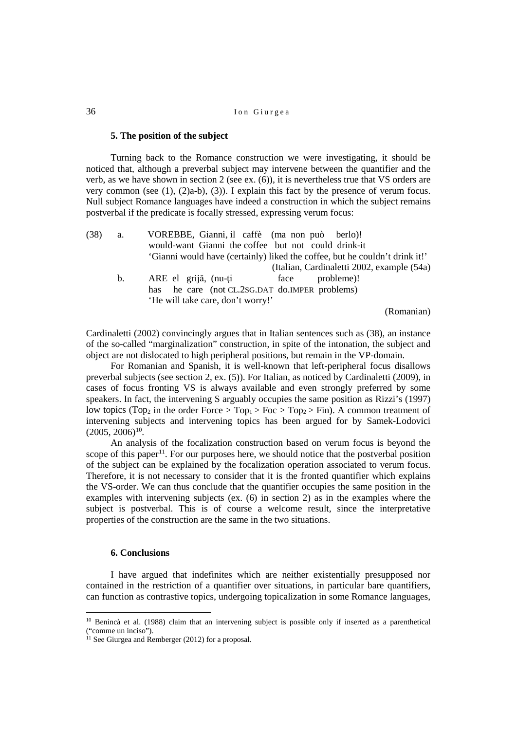### **5. The position of the subject**

Turning back to the Romance construction we were investigating, it should be noticed that, although a preverbal subject may intervene between the quantifier and the verb, as we have shown in section 2 (see ex. [\(6\)\)](#page-3-1), it is nevertheless true that VS orders are very common (see [\(1\),](#page-1-0) [\(2\)a](#page-1-2)-b), [\(3\)\)](#page-1-3). I explain this fact by the presence of verum focus. Null subject Romance languages have indeed a construction in which the subject remains postverbal if the predicate is focally stressed, expressing verum focus:

<span id="page-13-0"></span>

| (38) | a.             | VOREBBE, Gianni, il caffè (ma non può berlo)!                               |
|------|----------------|-----------------------------------------------------------------------------|
|      |                | would-want Gianni the coffee but not could drink-it                         |
|      |                | 'Gianni would have (certainly) liked the coffee, but he couldn't drink it!' |
|      |                | (Italian, Cardinaletti 2002, example (54a)                                  |
|      | $\mathbf{b}$ . | ARE el grijă, (nu-ți face<br>probleme)!                                     |
|      |                | has he care (not CL.2SG.DAT do.IMPER problems)                              |
|      |                | 'He will take care, don't worry!'                                           |
|      |                | (Domonion)                                                                  |

(Romanian)

Cardinaletti (2002) convincingly argues that in Italian sentences such as [\(38\),](#page-13-0) an instance of the so-called "marginalization" construction, in spite of the intonation, the subject and object are not dislocated to high peripheral positions, but remain in the VP-domain.

For Romanian and Spanish, it is well-known that left-peripheral focus disallows preverbal subjects (see section 2, ex. [\(5\)\)](#page-3-2). For Italian, as noticed by Cardinaletti (2009), in cases of focus fronting VS is always available and even strongly preferred by some speakers. In fact, the intervening S arguably occupies the same position as Rizzi's (1997) low topics (Top<sub>2</sub> in the order Force > Top<sub>1</sub> > Foc > Top<sub>2</sub> > Fin). A common treatment of intervening subjects and intervening topics has been argued for by Samek-Lodovici  $(2005, 2006)^{10}$ .

An analysis of the focalization construction based on verum focus is beyond the scope of this paper<sup>[11](#page-13-2)</sup>. For our purposes here, we should notice that the postverbal position of the subject can be explained by the focalization operation associated to verum focus. Therefore, it is not necessary to consider that it is the fronted quantifier which explains the VS-order. We can thus conclude that the quantifier occupies the same position in the examples with intervening subjects (ex. [\(6\)](#page-3-1) in section 2) as in the examples where the subject is postverbal. This is of course a welcome result, since the interpretative properties of the construction are the same in the two situations.

### **6. Conclusions**

 $\overline{a}$ 

I have argued that indefinites which are neither existentially presupposed nor contained in the restriction of a quantifier over situations, in particular bare quantifiers, can function as contrastive topics, undergoing topicalization in some Romance languages,

<span id="page-13-1"></span><sup>&</sup>lt;sup>10</sup> Benincà et al. (1988) claim that an intervening subject is possible only if inserted as a parenthetical ("comme un inciso").

<span id="page-13-2"></span> $11$  See Giurgea and Remberger (2012) for a proposal.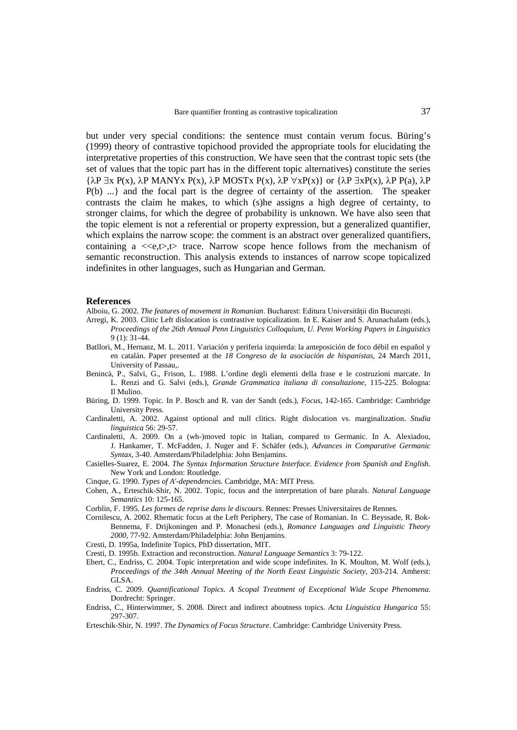but under very special conditions: the sentence must contain verum focus. Büring's (1999) theory of contrastive topichood provided the appropriate tools for elucidating the interpretative properties of this construction. We have seen that the contrast topic sets (the set of values that the topic part has in the different topic alternatives) constitute the series  ${\lambda P \exists x P(x), \lambda P \text{ MANYx } P(x), \lambda P \text{ MOSTx } P(x), \lambda P \forall x P(x)}$  or  ${\lambda P \exists x P(x), \lambda P \text{ P}(a), \lambda P}$ P(b) ...} and the focal part is the degree of certainty of the assertion. The speaker contrasts the claim he makes, to which (s)he assigns a high degree of certainty, to stronger claims, for which the degree of probability is unknown. We have also seen that the topic element is not a referential or property expression, but a generalized quantifier, which explains the narrow scope: the comment is an abstract over generalized quantifiers, containing a  $\langle\langle e,t\rangle\rangle$ , trace. Narrow scope hence follows from the mechanism of semantic reconstruction. This analysis extends to instances of narrow scope topicalized indefinites in other languages, such as Hungarian and German.

#### **References**

- Alboiu, G. 2002. *The features of movement in Romanian*. Bucharest: Editura Universității din București.
- Arregi, K. 2003. Clitic Left dislocation is contrastive topicalization. In E. Kaiser and S. Arunachalam (eds.), *Proceedings of the 26th Annual Penn Linguistics Colloquium*, *U. Penn Working Papers in Linguistics* 9 (1): 31-44.
- Batllori, M., Hernanz, M. L. 2011. Variación y periferia izquierda: la anteposición de foco débil en español y en catalán. Paper presented at the *18 Congreso de la asociación de hispanistas*, 24 March 2011, University of Passau,.
- Benincà, P., Salvi, G., Frison, L. 1988. L'ordine degli elementi della frase e le costruzioni marcate. In L. Renzi and G. Salvi (eds.), *Grande Grammatica italiana di consultazione*, 115-225. Bologna: Il Mulino.
- Büring, D. 1999. Topic. In P. Bosch and R. van der Sandt (eds.), *Focus*, 142-165. Cambridge: Cambridge University Press.
- Cardinaletti, A. 2002. Against optional and null clitics. Right dislocation vs. marginalization. *Studia linguistica* 56: 29-57.
- Cardinaletti, A. 2009. On a (wh-)moved topic in Italian, compared to Germanic. In A. Alexiadou, J. Hankamer, T. McFadden, J. Nuger and F. Schäfer (eds.), *Advances in Comparative Germanic Syntax*, 3-40. Amsterdam/Philadelphia: John Benjamins.
- Casielles-Suarez, E. 2004. *The Syntax Information Structure Interface. Evidence from Spanish and English*. New York and London: Routledge.
- Cinque, G. 1990. *Types of A'-dependencies*. Cambridge, MA: MIT Press.
- Cohen, A., Erteschik-Shir, N. 2002. Topic, focus and the interpretation of bare plurals. *Natural Language Semantics* 10: 125-165.
- Corblin, F. 1995. *Les formes de reprise dans le discours*. Rennes: Presses Universitaires de Rennes.
- Cornilescu, A. 2002. Rhematic focus at the Left Periphery, The case of Romanian. In C. Beyssade, R. Bok-Bennema, F. Drijkoningen and P. Monachesi (eds.), *Romance Languages and Linguistic Theory 2000*, 77-92. Amsterdam/Philadelphia: John Benjamins.
- Cresti, D. 1995a, Indefinite Topics, PhD dissertation, MIT.
- Cresti, D. 1995b. Extraction and reconstruction. *Natural Language Semantics* 3: 79-122.
- Ebert, C., Endriss, C. 2004. Topic interpretation and wide scope indefinites. In K. Moulton, M. Wolf (eds.), *Proceedings of the 34th Annual Meeting of the North Eeast Linguistic Society*, 203-214. Amherst: GLSA.
- Endriss, C. 2009. *Quantificational Topics. A Scopal Treatment of Exceptional Wide Scope Phenomena*. Dordrecht: Springer.
- Endriss, C., Hinterwimmer, S. 2008. Direct and indirect aboutness topics. *Acta Linguistica Hungarica* 55: 297-307.
- Erteschik-Shir, N. 1997. *The Dynamics of Focus Structure*. Cambridge: Cambridge University Press.